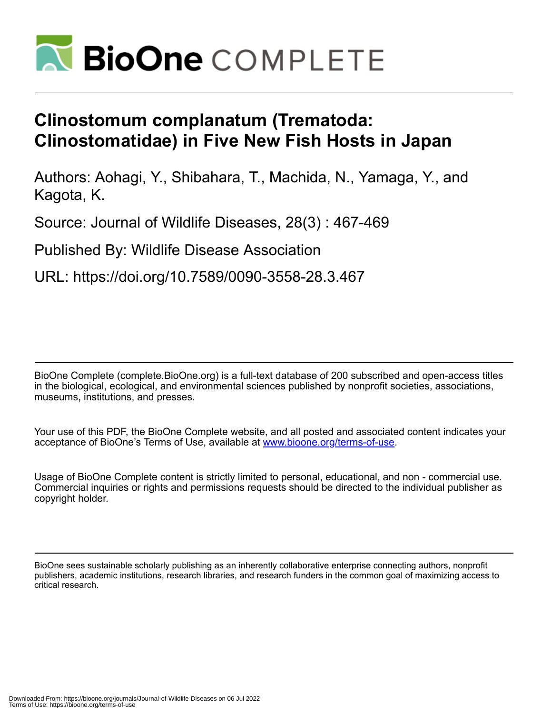

## **Clinostomum complanatum (Trematoda: Clinostomatidae) in Five New Fish Hosts in Japan**

Authors: Aohagi, Y., Shibahara, T., Machida, N., Yamaga, Y., and Kagota, K.

Source: Journal of Wildlife Diseases, 28(3) : 467-469

Published By: Wildlife Disease Association

URL: https://doi.org/10.7589/0090-3558-28.3.467

BioOne Complete (complete.BioOne.org) is a full-text database of 200 subscribed and open-access titles in the biological, ecological, and environmental sciences published by nonprofit societies, associations, museums, institutions, and presses.

Your use of this PDF, the BioOne Complete website, and all posted and associated content indicates your acceptance of BioOne's Terms of Use, available at www.bioone.org/terms-of-use.

Usage of BioOne Complete content is strictly limited to personal, educational, and non - commercial use. Commercial inquiries or rights and permissions requests should be directed to the individual publisher as copyright holder.

BioOne sees sustainable scholarly publishing as an inherently collaborative enterprise connecting authors, nonprofit publishers, academic institutions, research libraries, and research funders in the common goal of maximizing access to critical research.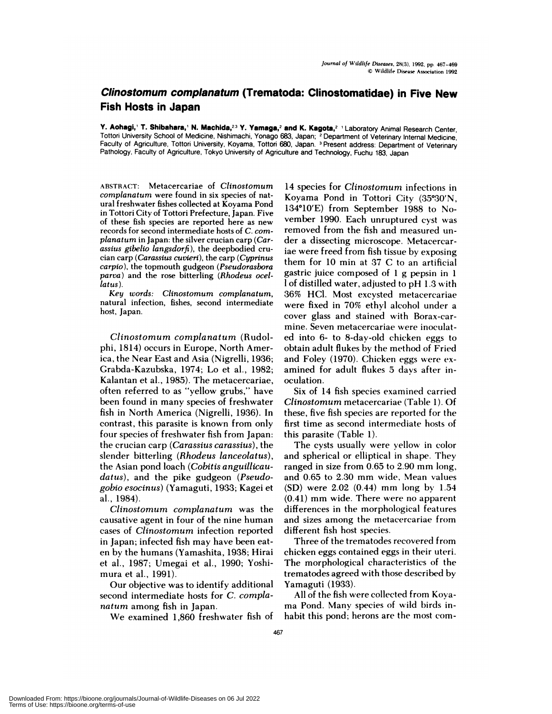## **Clinostomum complanatum (Trematoda: Clinostomatidae) in Five New Fish Hosts in Japan**

**V. Aohagl,' T. Shibahara,' N. Machlda,23 V. Vamaga,2 and K. Kagota,2** 'Laboratory Animal Research Center, Tottori University School of Medicine, Nishimachi, Yonago 683, Japan; **<sup>2</sup>** Department of Veterinary Internal Medicine, Faculty of Agriculture, Tottori University, Koyama, Tottori 680, Japan. <sup>3</sup> Present address: Department of Veterinary Pathology, Faculty of Agriculture, Tokyo University of Agriculture and Technology, Fuchu 183, Japan

**ABSTRACT:** Metacercariae of *Clinostomum corn planatum* were found in six species of natural freshwater fishes collected at Koyama Pond in Tottori City of Tottori Prefecture, Japan. Five of these fish species are reported here as new records for second intermediate hosts of *C. corn planaturn* in Japan: the silver crucian carp *(Carassius gibelio langsdorfi),* the deepbodied cru cian carp *(Carassius cuvieri),* the carp *(Cyprinus carpio),* the topmouth gudgeon *(Pseudorasbora parva)* and the rose bitterling *(Rhodeus ocellatus).*

*Key words: Clinostomurn corn planatum,* natural infection, fishes, second intermediate host, Japan.

*Clinostornum corn planaturn* (Rudolphi, 1814) occurs in Europe, North America, the Near East and Asia (Nigrelli, 1936; Grabda-Kazubska, 1974; Lo et al., 1982; Kalantan et al., 1985). The metacercariae, often referred to as "yellow grubs," have been found in many species of freshwater fish in North America (Nigrelli, 1936). In contrast, this parasite is known from only four species of freshwater fish from Japan: the crucian carp *(Carassius carassius),* the slender bitterling *(Rhodeus lanceolatus),* the Asian pond bach *(Cobitis anguillicaudatus),* and the pike gudgeon *(Pseudogobio esocinus)* (Yamaguti, 1933; Kagei et al., 1984).

*Clinostomum complanatum* was the causative agent in four of the nine human cases of *Clinostornum* infection reported in Japan; infected fish may have been eat en by the humans (Yamashita, 1938; Hirai et al., 1987; Umegai et al., 1990; Yoshi mura et al., 1991).

Our objective was to identify additional second intermediate hosts for *C. compla naturn* among fish in Japan.

We examined 1,860 freshwater fish of

14 species for *Clinostomurn* infections in Koyama Pond in Tottori City (35°30'N, 134 $^{\circ}10'$ E) from September 1988 to November 1990. Each unruptured cyst was removed from the fish and measured un der a dissecting microscope. Metacercariae were freed from fish tissue by exposing them for 10 min at 37 C to an artificial gastric juice composed of 1 g pepsin in 1 1 of distilled water, adjusted to pH 1.3 with 36% HC1. Most excysted metacercariae were fixed in 70% ethyl alcohol under a cover glass and stained with Borax-carmine. Seven metacercariae were inoculated into 6- to 8-day-old chicken eggs to obtain adult flukes by the method of Fried and Foley (1970). Chicken eggs were ex amined for adult flukes 5 days after inoculation.

Six of 14 fish species examined carried *Clinostornurn* metacercariae (Table 1). Of these, five fish species are reported for the first time as second intermediate hosts of this parasite (Table 1).

The cysts usually were yellow in color and spherical or elliptical in shape. They ranged in size from 0.65 to 2.90 mm long, and 0.65 to 2.30 mm wide, Mean values (SD) were 2.02 (0.44) mm long by 1.54 (0.41) mm wide. There were no apparent differences in the morphological features and sizes among the metacercariae from different fish host species.

Three of the trematodes recovered from chicken eggs contained eggs in their uteri. The morphological characteristics of the trematodes agreed with those described by Yamaguti (1933).

All of the fish were collected from Koya ma Pond. Many species of wild birds inhabit this pond; herons are the most com-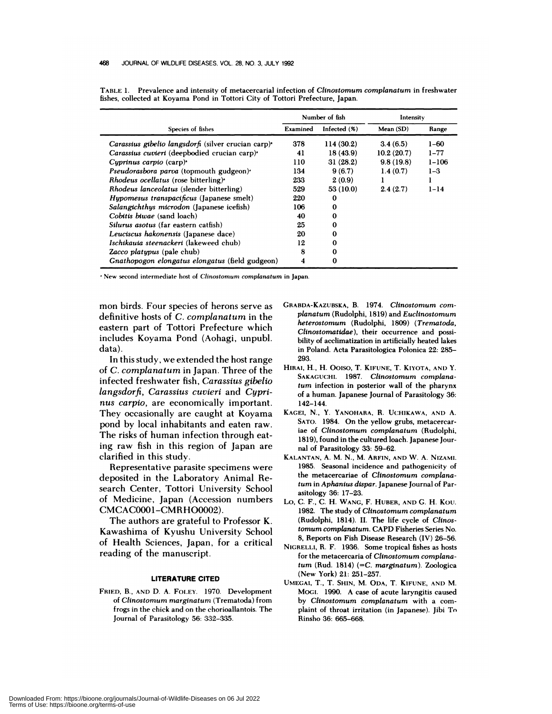| Species of fishes                                               | Number of fish |                 | Intensity  |           |
|-----------------------------------------------------------------|----------------|-----------------|------------|-----------|
|                                                                 | Examined       | Infected $(\%)$ | Mean (SD)  | Range     |
| Carassius gibelio langsdorfi (silver crucian carp) <sup>*</sup> | 378            | 114(30.2)       | 3.4(6.5)   | $1 - 60$  |
| Carassius cuvieri (deepbodied crucian carp) <sup>2</sup>        | 41             | 18(43.9)        | 10.2(20.7) | $1 - 77$  |
| Cyprinus carpio $(carp)^2$                                      | 110            | 31(28.2)        | 9.8(19.8)  | $1 - 106$ |
| Pseudorasbora parva (topmouth gudgeon).                         | 134            | 9(6.7)          | 1.4(0.7)   | $1 - 3$   |
| <i>Rhodeus ocellatus</i> (rose bitterling) <sup>*</sup>         | 233            | 2(0.9)          |            |           |
| Rhodeus lanceolatus (slender bitterling)                        | 529            | 53 (10.0)       | 2.4(2.7)   | $1 - 14$  |
| <i>Hypomesus transpacificus</i> (Japanese smelt)                | 220            | 0               |            |           |
| Salangichthus microdon (Japanese icefish)                       | 106            | $\bf{0}$        |            |           |
| Cobitis biwae (sand loach)                                      | 40             | $\mathbf 0$     |            |           |
| Silurus asotus (far eastern catfish)                            | 25             | 0               |            |           |
| Leuciscus hakonensis (Japanese dace)                            | 20             | 0               |            |           |
| Ischikauia steenackeri (lakeweed chub)                          | 12             | 0               |            |           |
| Zacco platypus (pale chub)                                      | 8              | 0               |            |           |
| Gnathopogon elongatus elongatus (field gudgeon)                 | 4              | 0               |            |           |

**TABLE 1.** Prevalence and intensity of metacercarial infection of *Clinostomum complanatum* **in freshwater** fishes, collected at Koyama Pond in Tottori City of Tottori Prefecture, Japan.

'New second intermediate host of *Clinostomuns complanatum* in Japan.

mon birds. Four species of herons serve as definitive hosts of *C. corn planaturn* in the eastern part of Tottori Prefecture which includes Koyama Pond (Aohagi, unpubl. data).

In this study, we extended the host range of *C. corn planaturn* in Japan. Three of the infected freshwater fish, *Carassius gibelio Ian gsdorfi, Carassius cuvieri* and *Cypri nus carpio,* are economically important. They occasionally are caught at Koyama pond by local inhabitants and eaten raw. The risks of human infection through eating raw fish in this region of Japan are clarified in this study.

Representative parasite specimens were deposited in the Laboratory Animal Research Center, Tottori University School of Medicine, Japan (Accession numbers CMCAC0001-CMRH00002).

The authors are grateful to Professor K. Kawashima of Kyushu University School of Health Sciences, Japan, for a critical reading of the manuscript.

## **LITERATURE CITED**

**FRIED,** B., AND D. A. **FoLEY. 1970. Development** of *Clinostomum marginatum* **(Trematoda) from** frogs in the chick and on the chorioallantois. The Journal of Parasitology 56: 332-335.

- **CRABDA-KAZUBSKA,** B. 1974. *Clinostomum corn planatum* (Rudolphi, 1819) and *Euclinostomum heterostomum* (Rudolphi, 1809) *(Trernatoda, Clinostomatidae),* their occurrence and possibility of acclimatization in artificially heated lakes in Poland. Acta Parasitobogica Pobonica 22: 285- 293.
- **HIRAI,** H. **,** H. Oolso, T. **KIFUNE,** T. **KIYOTA, AND** Y. **SAKAGUCHI. 1987.** *Clinostomum cornplanaturn* infection in posterior wall of the pharynx of a human. Japanese Journal of Parasitobogy 36: 142-144.
- KAGEI, N., Y. **YANOHARA,** H. UCHIKAWA, AND A. **SATO.** 1984. On the yellow grubs, metacercariae of *Clinostomum complanatum* (Rudolphi, 1819), found in the cultured bach. Japanese Journal of Parasitobogy 33: 59-62.
- KALANTAN, A. M. N., M. **ARFIN, AND** W. A. NIZAMI. 1985. Seasonal incidence and pathogenicity of the metacercariae of *Clinostomurn complanaturn* **in** *Aphanius dispar.* Japanese Journal of Parasitobogy 36: 17-23.
- Lo, C. F., C. H. **WANG,** F. HUBER, AND C. H. Kou. 1982. The study of *Clinostornurn cornplanaturn* (Rudobphi, 1814). II. The life cycle of *Clinostomurn complanaturn.* CAPD Fisheries Series No. 8, Reports on Fish Disease Research (IV) 26-56.
- **NIGRELLI,** H. F. 1936. Some tropical fishes as hosts for the metacercaria of *Clinostornurn complanaturn* (Rud. 1814) *(=C. rnarglnatum).* **Zoobogica** (New York) 21: 251-257.
- **UMEGAI,** T., T. **SHIN,** M. **ODA,** T. KIFUNE, AND M. Moci. **1990. A case of acute laryngitis caused** by *Clinostornum complanatum* with a com plaint of throat irritation (in Japanese). Jibi To Hinsho 36: 665-668.